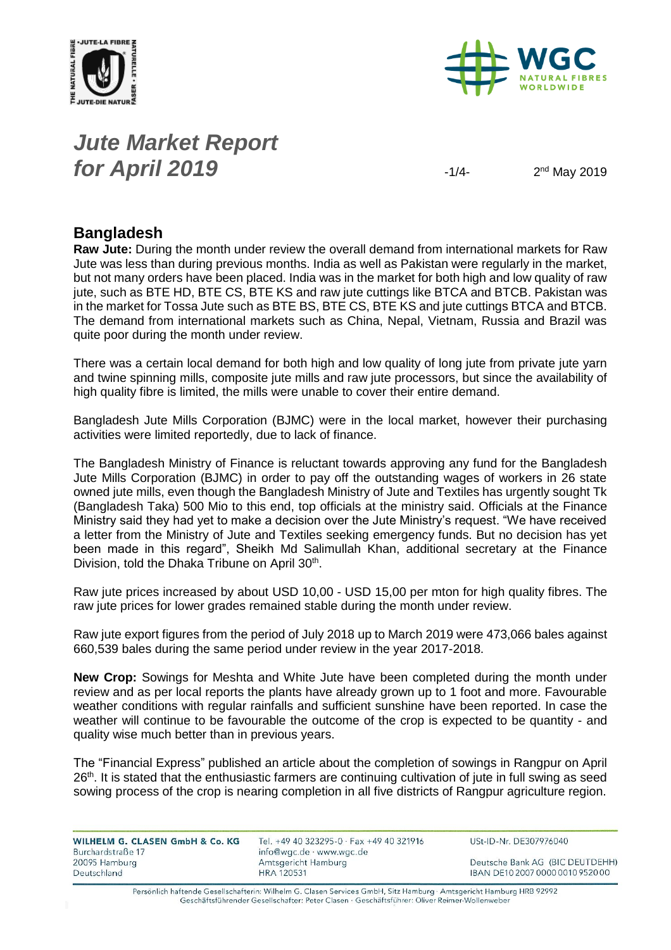



## *Jute Market Report for April 2019*  $-1/4$

 $2<sup>nd</sup>$  May 2019

### **Bangladesh**

**Raw Jute:** During the month under review the overall demand from international markets for Raw Jute was less than during previous months. India as well as Pakistan were regularly in the market, but not many orders have been placed. India was in the market for both high and low quality of raw jute, such as BTE HD, BTE CS, BTE KS and raw jute cuttings like BTCA and BTCB. Pakistan was in the market for Tossa Jute such as BTE BS, BTE CS, BTE KS and jute cuttings BTCA and BTCB. The demand from international markets such as China, Nepal, Vietnam, Russia and Brazil was quite poor during the month under review.

There was a certain local demand for both high and low quality of long jute from private jute yarn and twine spinning mills, composite jute mills and raw jute processors, but since the availability of high quality fibre is limited, the mills were unable to cover their entire demand.

Bangladesh Jute Mills Corporation (BJMC) were in the local market, however their purchasing activities were limited reportedly, due to lack of finance.

The Bangladesh Ministry of Finance is reluctant towards approving any fund for the Bangladesh Jute Mills Corporation (BJMC) in order to pay off the outstanding wages of workers in 26 state owned jute mills, even though the Bangladesh Ministry of Jute and Textiles has urgently sought Tk (Bangladesh Taka) 500 Mio to this end, top officials at the ministry said. Officials at the Finance Ministry said they had yet to make a decision over the Jute Ministry's request. "We have received a letter from the Ministry of Jute and Textiles seeking emergency funds. But no decision has yet been made in this regard", Sheikh Md Salimullah Khan, additional secretary at the Finance Division, told the Dhaka Tribune on April 30<sup>th</sup>.

Raw jute prices increased by about USD 10,00 - USD 15,00 per mton for high quality fibres. The raw jute prices for lower grades remained stable during the month under review.

Raw jute export figures from the period of July 2018 up to March 2019 were 473,066 bales against 660,539 bales during the same period under review in the year 2017-2018.

**New Crop:** Sowings for Meshta and White Jute have been completed during the month under review and as per local reports the plants have already grown up to 1 foot and more. Favourable weather conditions with regular rainfalls and sufficient sunshine have been reported. In case the weather will continue to be favourable the outcome of the crop is expected to be quantity - and quality wise much better than in previous years.

The "Financial Express" published an article about the completion of sowings in Rangpur on April 26<sup>th</sup>. It is stated that the enthusiastic farmers are continuing cultivation of jute in full swing as seed sowing process of the crop is nearing completion in all five districts of Rangpur agriculture region.

| WILHELM G. CLASEN GmbH & Co. KG | Tel. $+49$ 40 323295-0 $\cdot$ Fax $+49$ 40 321916 | USt-ID-Nr. DE307976040           |
|---------------------------------|----------------------------------------------------|----------------------------------|
| Burchardstraße 17               | info@wgc.de · www.wgc.de                           |                                  |
| 20095 Hamburg                   | Amtsgericht Hamburg                                | Deutsche Bank AG (BIC DEUTDEHH)  |
| Deutschland                     | <b>HRA 120531</b>                                  | IBAN DE10 2007 0000 0010 9520 00 |

Persönlich haftende Gesellschafterin: Wilhelm G. Clasen Services GmbH, Sitz Hamburg · Amtsgericht Hamburg HRB 92992 Geschäftsführender Gesellschafter: Peter Clasen · Geschäftsführer: Oliver Reimer-Wollenweber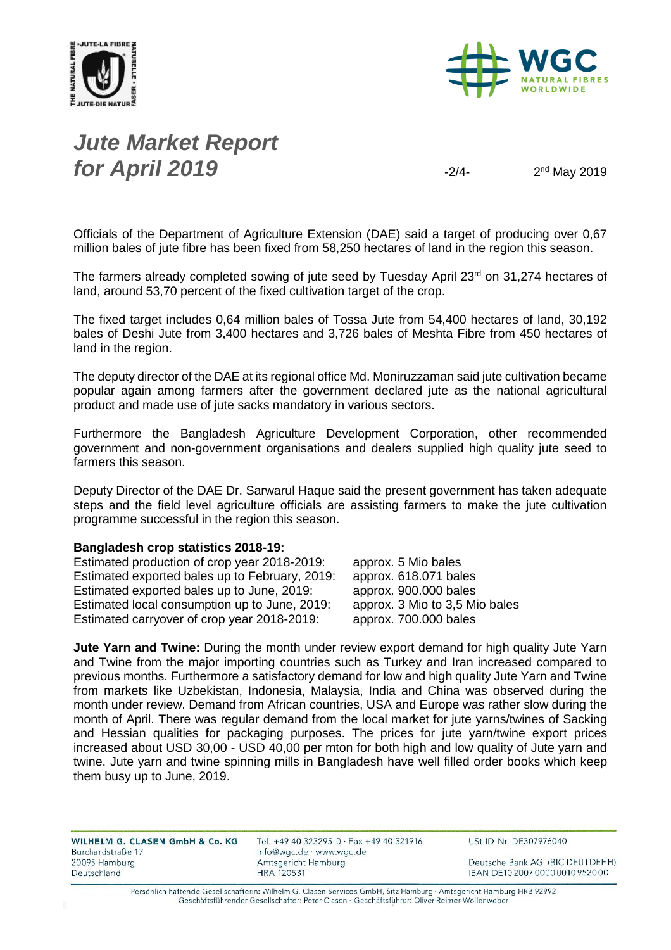



## *Jute Market Report for April 2019*  $\frac{2}{4}$

 $2<sup>nd</sup>$  May 2019

Officials of the Department of Agriculture Extension (DAE) said a target of producing over 0,67 million bales of jute fibre has been fixed from 58,250 hectares of land in the region this season.

The farmers already completed sowing of jute seed by Tuesday April 23<sup>rd</sup> on 31,274 hectares of land, around 53,70 percent of the fixed cultivation target of the crop.

The fixed target includes 0,64 million bales of Tossa Jute from 54,400 hectares of land, 30,192 bales of Deshi Jute from 3,400 hectares and 3,726 bales of Meshta Fibre from 450 hectares of land in the region.

The deputy director of the DAE at its regional office Md. Moniruzzaman said jute cultivation became popular again among farmers after the government declared jute as the national agricultural product and made use of jute sacks mandatory in various sectors.

Furthermore the Bangladesh Agriculture Development Corporation, other recommended government and non-government organisations and dealers supplied high quality jute seed to farmers this season.

Deputy Director of the DAE Dr. Sarwarul Haque said the present government has taken adequate steps and the field level agriculture officials are assisting farmers to make the jute cultivation programme successful in the region this season.

#### **Bangladesh crop statistics 2018-19:**

| Estimated production of crop year 2018-2019:   | approx. 5 Mio bales            |
|------------------------------------------------|--------------------------------|
| Estimated exported bales up to February, 2019: | approx. 618.071 bales          |
| Estimated exported bales up to June, 2019:     | approx. 900.000 bales          |
| Estimated local consumption up to June, 2019:  | approx. 3 Mio to 3,5 Mio bales |
| Estimated carryover of crop year 2018-2019:    | approx. 700.000 bales          |
|                                                |                                |

**Jute Yarn and Twine:** During the month under review export demand for high quality Jute Yarn and Twine from the major importing countries such as Turkey and Iran increased compared to previous months. Furthermore a satisfactory demand for low and high quality Jute Yarn and Twine from markets like Uzbekistan, Indonesia, Malaysia, India and China was observed during the month under review. Demand from African countries, USA and Europe was rather slow during the month of April. There was regular demand from the local market for jute yarns/twines of Sacking and Hessian qualities for packaging purposes. The prices for jute yarn/twine export prices increased about USD 30,00 - USD 40,00 per mton for both high and low quality of Jute yarn and twine. Jute yarn and twine spinning mills in Bangladesh have well filled order books which keep them busy up to June, 2019.

| WILHELM G. CLASEN GmbH & Co. KG<br>Burchardstraße 17 | Tel. +49 40 323295-0 · Fax +49 40 321916<br>info@wgc.de · www.wgc.de | USt-ID-Nr. DE307976040           |  |  |  |
|------------------------------------------------------|----------------------------------------------------------------------|----------------------------------|--|--|--|
| 20095 Hamburg                                        | Amtsgericht Hamburg                                                  | Deutsche Bank AG (BIC DEUTDEHH)  |  |  |  |
| Deutschland                                          | <b>HRA 120531</b>                                                    | IBAN DE10 2007 0000 0010 9520 00 |  |  |  |

Persönlich haftende Gesellschafterin: Wilhelm G. Clasen Services GmbH, Sitz Hamburg · Amtsgericht Hamburg HRB 92992 Geschäftsführender Gesellschafter: Peter Clasen · Geschäftsführer: Oliver Reimer-Wollenweber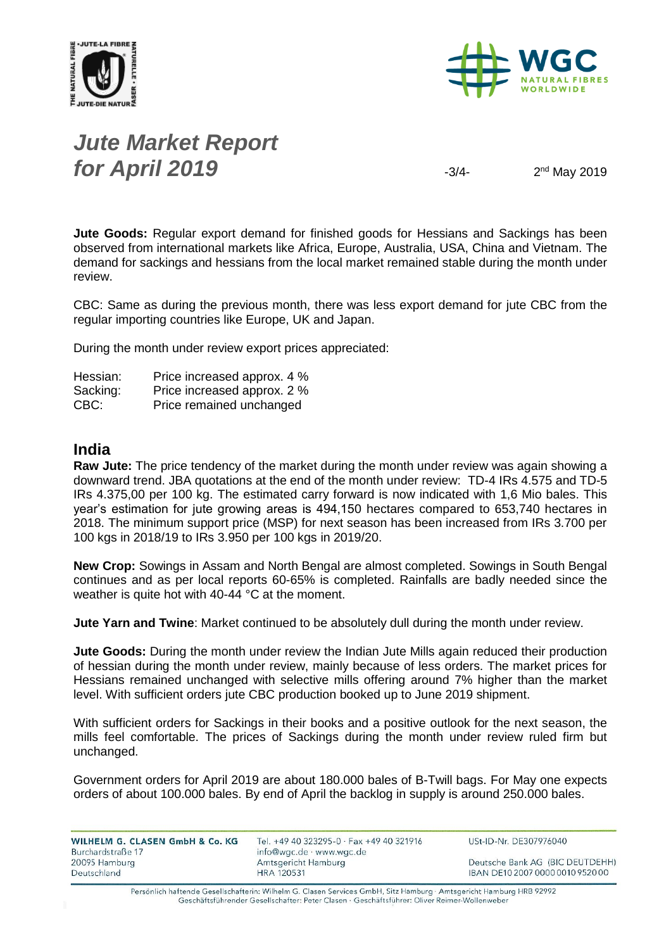



## *Jute Market Report for April 2019*  $\frac{3}{4}$

 $2<sup>nd</sup>$  May 2019

**Jute Goods:** Regular export demand for finished goods for Hessians and Sackings has been observed from international markets like Africa, Europe, Australia, USA, China and Vietnam. The demand for sackings and hessians from the local market remained stable during the month under review.

CBC: Same as during the previous month, there was less export demand for jute CBC from the regular importing countries like Europe, UK and Japan.

During the month under review export prices appreciated:

| Hessian: | Price increased approx. 4 % |
|----------|-----------------------------|
| Sacking: | Price increased approx. 2 % |
| CBC:     | Price remained unchanged    |

### **India**

**Raw Jute:** The price tendency of the market during the month under review was again showing a downward trend. JBA quotations at the end of the month under review: TD-4 IRs 4.575 and TD-5 IRs 4.375,00 per 100 kg. The estimated carry forward is now indicated with 1,6 Mio bales. This year's estimation for jute growing areas is 494,150 hectares compared to 653,740 hectares in 2018. The minimum support price (MSP) for next season has been increased from IRs 3.700 per 100 kgs in 2018/19 to IRs 3.950 per 100 kgs in 2019/20.

**New Crop:** Sowings in Assam and North Bengal are almost completed. Sowings in South Bengal continues and as per local reports 60-65% is completed. Rainfalls are badly needed since the weather is quite hot with 40-44 °C at the moment.

**Jute Yarn and Twine**: Market continued to be absolutely dull during the month under review.

**Jute Goods:** During the month under review the Indian Jute Mills again reduced their production of hessian during the month under review, mainly because of less orders. The market prices for Hessians remained unchanged with selective mills offering around 7% higher than the market level. With sufficient orders jute CBC production booked up to June 2019 shipment.

With sufficient orders for Sackings in their books and a positive outlook for the next season, the mills feel comfortable. The prices of Sackings during the month under review ruled firm but unchanged.

Government orders for April 2019 are about 180.000 bales of B-Twill bags. For May one expects orders of about 100.000 bales. By end of April the backlog in supply is around 250.000 bales.

| <b>WILHELM G. CLASEN GmbH &amp; Co. KG</b> |  |  |  |
|--------------------------------------------|--|--|--|
| Burchardstraße 17                          |  |  |  |
| 20095 Hamburg                              |  |  |  |
| Deutschland                                |  |  |  |

Tel. +49 40 323295-0 · Fax +49 40 321916 info@wgc.de · www.wgc.de Amtsgericht Hamburg **HRA 120531** 

USt-ID-Nr. DE307976040

Deutsche Bank AG (BIC DEUTDEHH) IBAN DE10 2007 0000 0010 9520 00

Persönlich haftende Gesellschafterin: Wilhelm G. Clasen Services GmbH, Sitz Hamburg · Amtsgericht Hamburg HRB 92992 Geschäftsführender Gesellschafter: Peter Clasen · Geschäftsführer: Oliver Reimer-Wollenweber